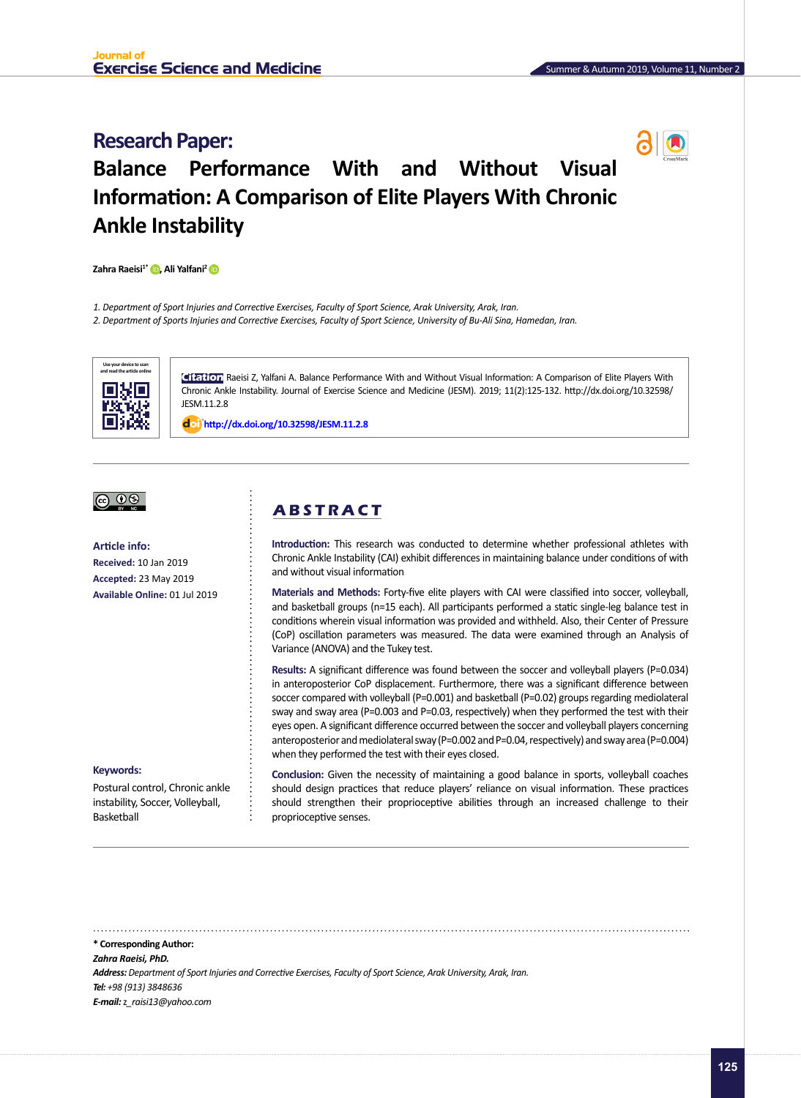## **Research Paper:**



# **Balance Performance With and Without Visual Information: A Comparison of Elite Players With Chronic Ankle Instability**

**Zahra Raeisi1\* , Ali Yalfani<sup>2</sup>**

*1. Department of Sport Injuries and Corrective Exercises, Faculty of Sport Science, Arak University, Arak, Iran.*

*2. Department of Sports Injuries and Corrective Exercises, Faculty of Sport Science, University of Bu-Ali Sina, Hamedan, Iran.*



**Citation** Raeisi Z, Yalfani A. Balance Performance With and Without Visual Information: A Comparison of Elite Players With Chronic Ankle Instability. Journal of Exercise Science and Medicine (JESM). 2019; 11(2):125-132. http://dx.doi.org/10.32598/ JESM.11.2.8

: **http://dx.doi.org/10.32598/JESM.11.2.8**



## **Article info:**

**Received:** 10 Jan 2019 **Accepted:** 23 May 2019 **Available Online:** 01 Jul 2019

#### **Keywords:**

Postural control, Chronic ankle instability, Soccer, Volleyball, Basketball

## **A B S T R A C T**

**Introduction:** This research was conducted to determine whether professional athletes with Chronic Ankle Instability (CAI) exhibit differences in maintaining balance under conditions of with and without visual information

**Materials and Methods:** Forty-five elite players with CAI were classified into soccer, volleyball, and basketball groups (n=15 each). All participants performed a static single-leg balance test in conditions wherein visual information was provided and withheld. Also, their Center of Pressure (CoP) oscillation parameters was measured. The data were examined through an Analysis of Variance (ANOVA) and the Tukey test.

**Results:** A significant difference was found between the soccer and volleyball players (P=0.034) in anteroposterior CoP displacement. Furthermore, there was a significant difference between soccer compared with volleyball (P=0.001) and basketball (P=0.02) groups regarding mediolateral sway and sway area (P=0.003 and P=0.03, respectively) when they performed the test with their eyes open. A significant difference occurred between the soccer and volleyball players concerning anteroposterior and mediolateral sway (P=0.002 and P=0.04, respectively) and sway area (P=0.004) when they performed the test with their eyes closed.

**Conclusion:** Given the necessity of maintaining a good balance in sports, volleyball coaches should design practices that reduce players' reliance on visual information. These practices should strengthen their proprioceptive abilities through an increased challenge to their proprioceptive senses.

**\* Corresponding Author:** *Zahra Raeisi, PhD. Address: Department of Sport Injuries and Corrective Exercises, Faculty of Sport Science, Arak University, Arak, Iran. Tel: +98 (913) 3848636 E-mail:*z*\_raisi13@yahoo.com*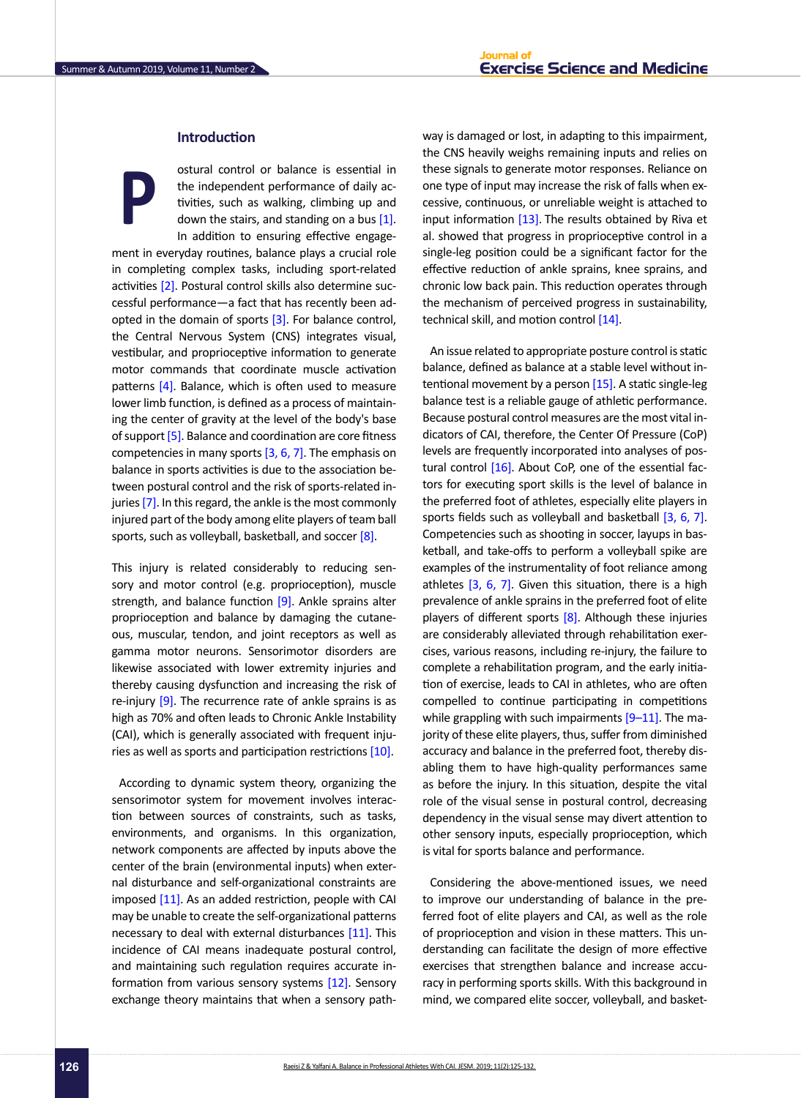## **Introduction**

ostural control or balance is essential in the independent performance of daily activities, such as walking, climbing up and down the stairs, and standing on a bus [1]. In addition to ensuring effective engagement in everyday routines, balance plays a crucial role in completing complex tasks, including sport-related activities [2]. Postural control skills also determine successful performance—a fact that has recently been adopted in the domain of sports [3]. For balance control, the Central Nervous System (CNS) integrates visual, vestibular, and proprioceptive information to generate motor commands that coordinate muscle activation patterns [\[4\].](#page-6-0) Balance, which is often used to measure lower limb function, is defined as a process of maintaining the center of gravity at the level of the body's base of support [5]. Balance and coordination are core fitness competencies in many sports [3, [6,](#page-6-1) [7\].](#page-6-2) The emphasis on balance in sports activities is due to the association between postural control and the risk of sports-related in-juries [\[7\]](#page-6-2). In this regard, the ankle is the most commonly injured part of the body among elite players of team ball sports, such as volleyball, basketball, and soccer [\[8\].](#page-6-3) **P**

This injury is related considerably to reducing sensory and motor control (e.g. proprioception), muscle strength, and balance function [\[9\].](#page-6-4) Ankle sprains alter proprioception and balance by damaging the cutaneous, muscular, tendon, and joint receptors as well as gamma motor neurons. Sensorimotor disorders are likewise associated with lower extremity injuries and thereby causing dysfunction and increasing the risk of re-injury [\[9\]](#page-6-4). The recurrence rate of ankle sprains is as high as 70% and often leads to Chronic Ankle Instability (CAI), which is generally associated with frequent inju-ries as well as sports and participation restrictions [\[10\]](#page-6-5).

According to dynamic system theory, organizing the sensorimotor system for movement involves interaction between sources of constraints, such as tasks, environments, and organisms. In this organization, network components are affected by inputs above the center of the brain (environmental inputs) when external disturbance and self-organizational constraints are imposed [\[11\]](#page-6-6). As an added restriction, people with CAI may be unable to create the self-organizational patterns necessary to deal with external disturbances [\[11\].](#page-6-6) This incidence of CAI means inadequate postural control, and maintaining such regulation requires accurate information from various sensory systems [\[12\]](#page-6-7). Sensory exchange theory maintains that when a sensory pathway is damaged or lost, in adapting to this impairment, the CNS heavily weighs remaining inputs and relies on these signals to generate motor responses. Reliance on one type of input may increase the risk of falls when excessive, continuous, or unreliable weight is attached to input information  $[13]$ . The results obtained by Riva et al. showed that progress in proprioceptive control in a single-leg position could be a significant factor for the effective reduction of ankle sprains, knee sprains, and chronic low back pain. This reduction operates through the mechanism of perceived progress in sustainability, technical skill, and motion control [\[14\]](#page-6-9).

An issue related to appropriate posture control is static balance, defined as balance at a stable level without intentional movement by a person [\[15\].](#page-6-10) A static single-leg balance test is a reliable gauge of athletic performance. Because postural control measures are the most vital indicators of CAI, therefore, the Center Of Pressure (CoP) levels are frequently incorporated into analyses of pos-tural control [\[16\]](#page-6-11). About CoP, one of the essential factors for executing sport skills is the level of balance in the preferred foot of athletes, especially elite players in sports fields such as volleyball and basketball [3, [6,](#page-6-1) [7\]](#page-6-2). Competencies such as shooting in soccer, layups in basketball, and take-offs to perform a volleyball spike are examples of the instrumentality of foot reliance among athletes  $[3, 6, 7]$  $[3, 6, 7]$  $[3, 6, 7]$  $[3, 6, 7]$ . Given this situation, there is a high prevalence of ankle sprains in the preferred foot of elite players of different sports  $[8]$ . Although these injuries are considerably alleviated through rehabilitation exercises, various reasons, including re-injury, the failure to complete a rehabilitation program, and the early initiation of exercise, leads to CAI in athletes, who are often compelled to continue participating in competitions while grappling with such impairments  $[9-11]$ . The majority of these elite players, thus, suffer from diminished accuracy and balance in the preferred foot, thereby disabling them to have high-quality performances same as before the injury. In this situation, despite the vital role of the visual sense in postural control, decreasing dependency in the visual sense may divert attention to other sensory inputs, especially proprioception, which is vital for sports balance and performance.

Considering the above-mentioned issues, we need to improve our understanding of balance in the preferred foot of elite players and CAI, as well as the role of proprioception and vision in these matters. This understanding can facilitate the design of more effective exercises that strengthen balance and increase accuracy in performing sports skills. With this background in mind, we compared elite soccer, volleyball, and basket-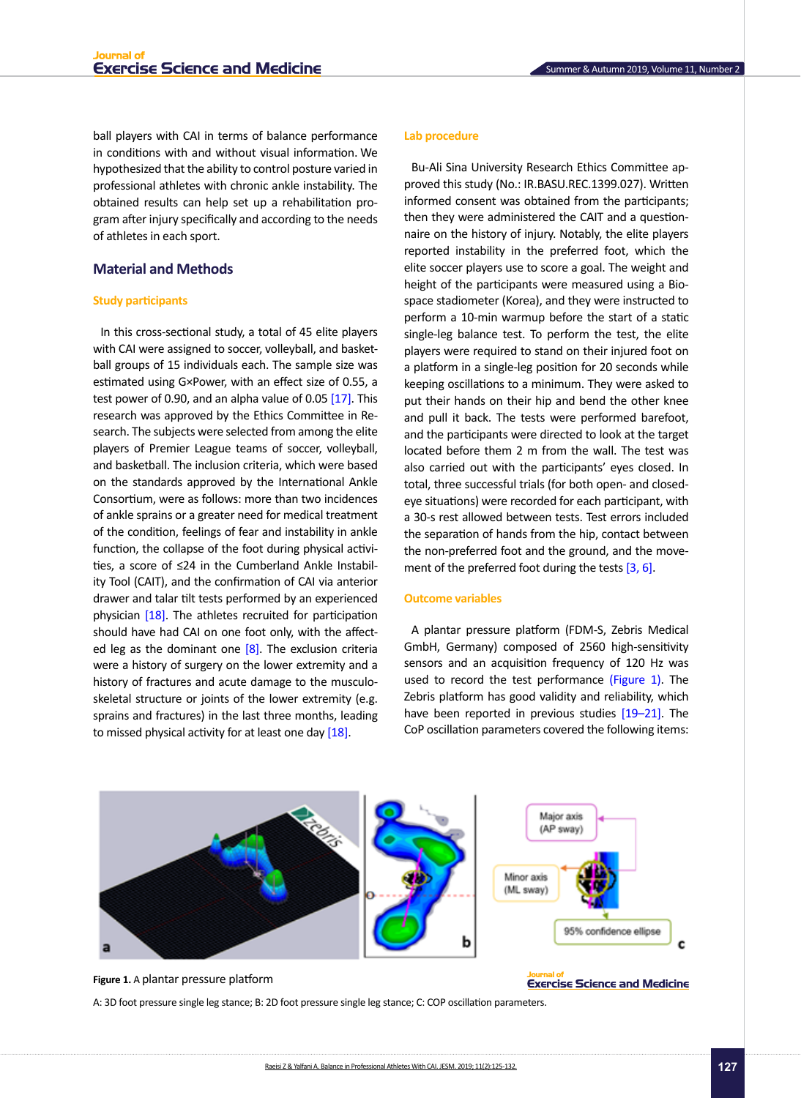ball players with CAI in terms of balance performance in conditions with and without visual information. We hypothesized that the ability to control posture varied in professional athletes with chronic ankle instability. The obtained results can help set up a rehabilitation program after injury specifically and according to the needs of athletes in each sport.

## **Material and Methods**

## **Study participants**

In this cross-sectional study, a total of 45 elite players with CAI were assigned to soccer, volleyball, and basketball groups of 15 individuals each. The sample size was estimated using G×Power, with an effect size of 0.55, a test power of 0.90, and an alpha value of 0.05  $[17]$ . This research was approved by the Ethics Committee in Research. The subjects were selected from among the elite players of Premier League teams of soccer, volleyball, and basketball. The inclusion criteria, which were based on the standards approved by the International Ankle Consortium, were as follows: more than two incidences of ankle sprains or a greater need for medical treatment of the condition, feelings of fear and instability in ankle function, the collapse of the foot during physical activities, a score of ≤24 in the Cumberland Ankle Instability Tool (CAIT), and the confirmation of CAI via anterior drawer and talar tilt tests performed by an experienced physician [\[18\].](#page-6-13) The athletes recruited for participation should have had CAI on one foot only, with the affected leg as the dominant one  $[8]$ . The exclusion criteria were a history of surgery on the lower extremity and a history of fractures and acute damage to the musculoskeletal structure or joints of the lower extremity (e.g. sprains and fractures) in the last three months, leading to missed physical activity for at least one day [\[18\].](#page-6-13)

#### **Lab procedure**

Bu-Ali Sina University Research Ethics Committee approved this study (No.: IR.BASU.REC.1399.027). Written informed consent was obtained from the participants; then they were administered the CAIT and a questionnaire on the history of injury. Notably, the elite players reported instability in the preferred foot, which the elite soccer players use to score a goal. The weight and height of the participants were measured using a Biospace stadiometer (Korea), and they were instructed to perform a 10-min warmup before the start of a static single-leg balance test. To perform the test, the elite players were required to stand on their injured foot on a platform in a single-leg position for 20 seconds while keeping oscillations to a minimum. They were asked to put their hands on their hip and bend the other knee and pull it back. The tests were performed barefoot, and the participants were directed to look at the target located before them 2 m from the wall. The test was also carried out with the participants' eyes closed. In total, three successful trials (for both open- and closedeye situations) were recorded for each participant, with a 30-s rest allowed between tests. Test errors included the separation of hands from the hip, contact between the non-preferred foot and the ground, and the movement of the preferred foot during the tests [3, [6\].](#page-6-1)

#### **Outcome variables**

A plantar pressure platform (FDM-S, Zebris Medical GmbH, Germany) composed of 2560 high-sensitivity sensors and an acquisition frequency of 120 Hz was used to record the test performance [\(Figure 1\)](#page-2-0). The Zebris platform has good validity and reliability, which have been reported in previous studies [19-21]. The CoP oscillation parameters covered the following items:



<span id="page-2-0"></span>**Figure 1.** A plantar pressure platform

A: 3D foot pressure single leg stance; B: 2D foot pressure single leg stance; C: COP oscillation parameters.

rcise Science and Medicine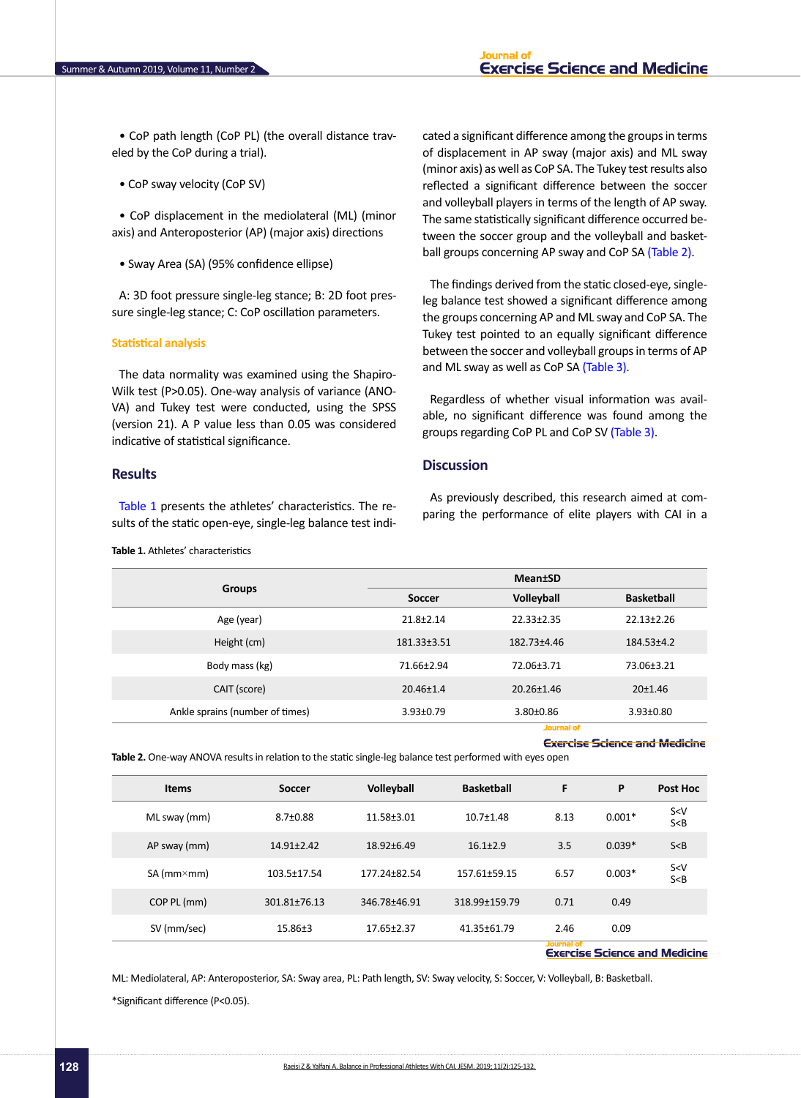• CoP path length (CoP PL) (the overall distance traveled by the CoP during a trial).

• CoP sway velocity (CoP SV)

• CoP displacement in the mediolateral (ML) (minor axis) and Anteroposterior (AP) (major axis) directions

• Sway Area (SA) (95% confidence ellipse)

A: 3D foot pressure single-leg stance; B: 2D foot pressure single-leg stance; C: CoP oscillation parameters.

### **Statistical analysis**

The data normality was examined using the Shapiro-Wilk test (P>0.05). One-way analysis of variance (ANO-VA) and Tukey test were conducted, using the SPSS (version 21). A P value less than 0.05 was considered indicative of statistical significance.

### **Results**

Table 1 presents the athletes' characteristics. The results of the static open-eye, single-leg balance test indi-

**Table 1.** Athletes' characteristics

cated a significant difference among the groups in terms of displacement in AP sway (major axis) and ML sway (minor axis) as well as CoP SA. The Tukey test results also reflected a significant difference between the soccer and volleyball players in terms of the length of AP sway. The same statistically significant difference occurred between the soccer group and the volleyball and basketball groups concerning AP sway and CoP SA [\(Table 2\).](#page-3-0)

The findings derived from the static closed-eye, singleleg balance test showed a significant difference among the groups concerning AP and ML sway and CoP SA. The Tukey test pointed to an equally significant difference between the soccer and volleyball groups in terms of AP and ML sway as well as CoP SA [\(Table 3\).](#page-4-0)

Regardless of whether visual information was available, no significant difference was found among the groups regarding CoP PL and CoP SV [\(Table 3\)](#page-4-0).

## **Discussion**

As previously described, this research aimed at comparing the performance of elite players with CAI in a

| <b>Groups</b>                   | <b>Mean</b> tSD |                      |                   |  |
|---------------------------------|-----------------|----------------------|-------------------|--|
|                                 | <b>Soccer</b>   | <b>Volleyball</b>    | <b>Basketball</b> |  |
| Age (year)                      | $21.8 \pm 2.14$ | $22.33 \pm 2.35$     | $22.13 \pm 2.26$  |  |
| Height (cm)                     | 181.33±3.51     | 182.73±4.46          | 184.53±4.2        |  |
| Body mass (kg)                  | 71.66±2.94      | 72.06±3.71           | 73.06±3.21        |  |
| CAIT (score)                    | $20.46 \pm 1.4$ | 20.26±1.46           | 20±1.46           |  |
| Ankle sprains (number of times) | $3.93 \pm 0.79$ | $3.80 \pm 0.86$<br>. | $3.93 \pm 0.80$   |  |

#### **Exercise Science and Medicine**

<span id="page-3-0"></span>**Table 2.** One-way ANOVA results in relation to the static single-leg balance test performed with eyes open

| <b>Items</b>          | <b>Soccer</b>    | <b>Volleyball</b> | <b>Basketball</b> | F          | P        | Post Hoc       |
|-----------------------|------------------|-------------------|-------------------|------------|----------|----------------|
| ML sway (mm)          | $8.7 \pm 0.88$   | 11.58±3.01        | $10.7 \pm 1.48$   | 8.13       | $0.001*$ | S < V<br>S < B |
| AP sway (mm)          | $14.91 \pm 2.42$ | $18.92 \pm 6.49$  | $16.1 \pm 2.9$    | 3.5        | $0.039*$ | S < B          |
| $SA$ (mm $\times$ mm) | 103.5±17.54      | 177.24±82.54      | 157.61±59.15      | 6.57       | $0.003*$ | S < V<br>S < B |
| COP PL (mm)           | 301.81±76.13     | 346.78±46.91      | 318.99±159.79     | 0.71       | 0.49     |                |
| SV (mm/sec)           | $15.86 \pm 3$    | 17.65±2.37        | 41.35±61.79       | 2.46       | 0.09     |                |
|                       |                  |                   |                   | Journal of |          |                |

#### **Exercise Science and Medicine**

ML: Mediolateral, AP: Anteroposterior, SA: Sway area, PL: Path length, SV: Sway velocity, S: Soccer, V: Volleyball, B: Basketball.

\*Significant difference (P<0.05).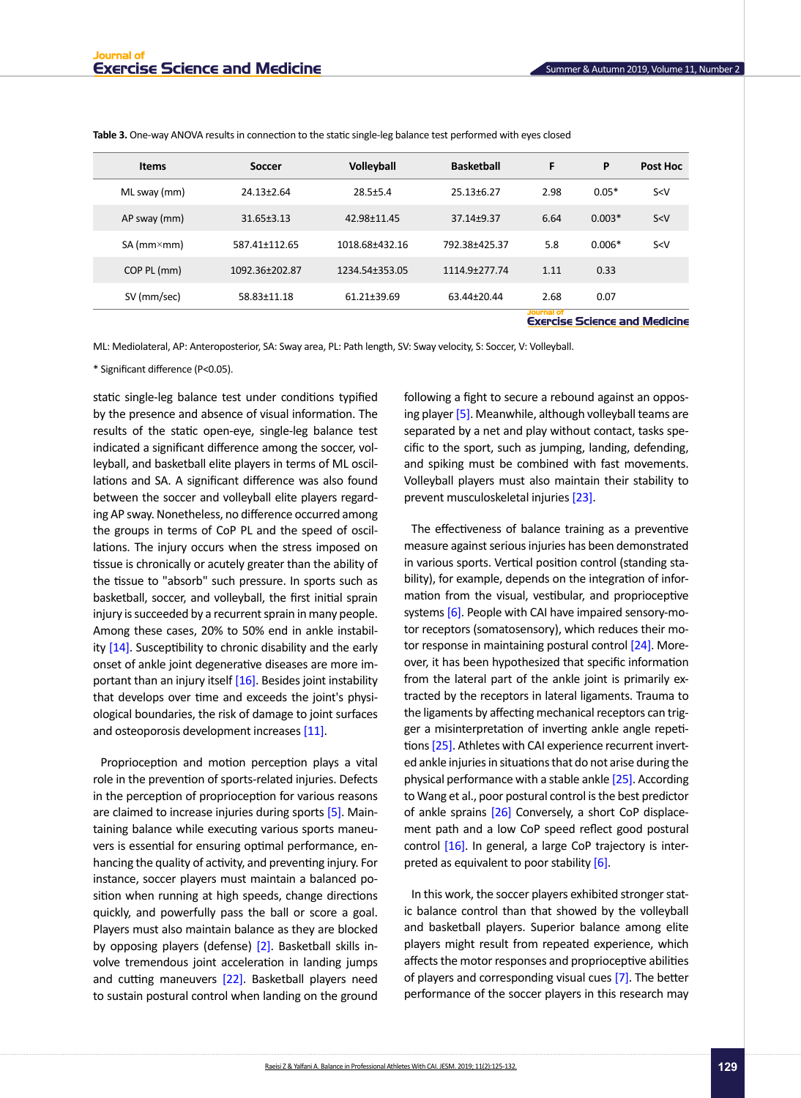| <b>Items</b>                                       | <b>Soccer</b>    | <b>Volleyball</b> | <b>Basketball</b> | F    | P        | Post Hoc |
|----------------------------------------------------|------------------|-------------------|-------------------|------|----------|----------|
| ML sway (mm)                                       | $24.13 \pm 2.64$ | $28.5 + 5.4$      | $25.13 \pm 6.27$  | 2.98 | $0.05*$  | S < V    |
| AP sway (mm)                                       | $31.65 \pm 3.13$ | 42.98±11.45       | $37.14 + 9.37$    | 6.64 | $0.003*$ | S < V    |
| $SA$ (mm $\times$ mm)                              | 587.41±112.65    | 1018.68±432.16    | 792.38±425.37     | 5.8  | $0.006*$ | S < V    |
| COP PL (mm)                                        | 1092.36±202.87   | 1234.54±353.05    | 1114.9 ± 277.74   | 1.11 | 0.33     |          |
| SV (mm/sec)                                        | 58.83±11.18      | 61.21±39.69       | 63.44±20.44       | 2.68 | 0.07     |          |
| Journal of<br><b>Exercise Science and Medicine</b> |                  |                   |                   |      |          |          |

<span id="page-4-0"></span>**Table 3.** One-way ANOVA results in connection to the static single-leg balance test performed with eyes closed

ML: Mediolateral, AP: Anteroposterior, SA: Sway area, PL: Path length, SV: Sway velocity, S: Soccer, V: Volleyball.

\* Significant difference (P<0.05).

static single-leg balance test under conditions typified by the presence and absence of visual information. The results of the static open-eye, single-leg balance test indicated a significant difference among the soccer, volleyball, and basketball elite players in terms of ML oscillations and SA. A significant difference was also found between the soccer and volleyball elite players regarding AP sway. Nonetheless, no difference occurred among the groups in terms of CoP PL and the speed of oscillations. The injury occurs when the stress imposed on tissue is chronically or acutely greater than the ability of the tissue to "absorb" such pressure. In sports such as basketball, soccer, and volleyball, the first initial sprain injury is succeeded by a recurrent sprain in many people. Among these cases, 20% to 50% end in ankle instabil-ity [\[14\].](#page-6-9) Susceptibility to chronic disability and the early onset of ankle joint degenerative diseases are more important than an injury itself  $[16]$ . Besides joint instability that develops over time and exceeds the joint's physiological boundaries, the risk of damage to joint surfaces and osteoporosis development increases [\[11\].](#page-6-6)

Proprioception and motion perception plays a vital role in the prevention of sports-related injuries. Defects in the perception of proprioception for various reasons are claimed to increase injuries during sports [5]. Maintaining balance while executing various sports maneuvers is essential for ensuring optimal performance, enhancing the quality of activity, and preventing injury. For instance, soccer players must maintain a balanced position when running at high speeds, change directions quickly, and powerfully pass the ball or score a goal. Players must also maintain balance as they are blocked by opposing players (defense) [2]. Basketball skills involve tremendous joint acceleration in landing jumps and cutting maneuver[s \[22\]](#page-7-0). Basketball players need to sustain postural control when landing on the ground

following a fight to secure a rebound against an opposing player [5]. Meanwhile, although volleyball teams are separated by a net and play without contact, tasks specific to the sport, such as jumping, landing, defending, and spiking must be combined with fast movements. Volleyball players must also maintain their stability to prevent musculoskeletal injuries [\[23\]](#page-7-1).

The effectiveness of balance training as a preventive measure against serious injuries has been demonstrated in various sports. Vertical position control (standing stability), for example, depends on the integration of information from the visual, vestibular, and proprioceptive systems [\[6\]](#page-6-1). People with CAI have impaired sensory-motor receptors (somatosensory), which reduces their mo-tor response in maintaining postural control [\[24\].](#page-7-2) Moreover, it has been hypothesized that specific information from the lateral part of the ankle joint is primarily extracted by the receptors in lateral ligaments. Trauma to the ligaments by affecting mechanical receptors can trigger a misinterpretation of inverting ankle angle repetitions [\[25\]](#page-7-3). Athletes with CAI experience recurrent inverted ankle injuries in situations that do not arise during the physical performance with a stable ankle [\[25\].](#page-7-3) According to Wang et al., poor postural control is the best predictor of ankle sprains [\[26\]](#page-7-3) Conversely, a short CoP displacement path and a low CoP speed reflect good postural control [\[16\]](#page-6-11). In general, a large CoP trajectory is interpreted as equivalent to poor stability [\[6\].](#page-6-1)

In this work, the soccer players exhibited stronger static balance control than that showed by the volleyball and basketball players. Superior balance among elite players might result from repeated experience, which affects the motor responses and proprioceptive abilities of players and corresponding visual cues [\[7\].](#page-6-2) The better performance of the soccer players in this research may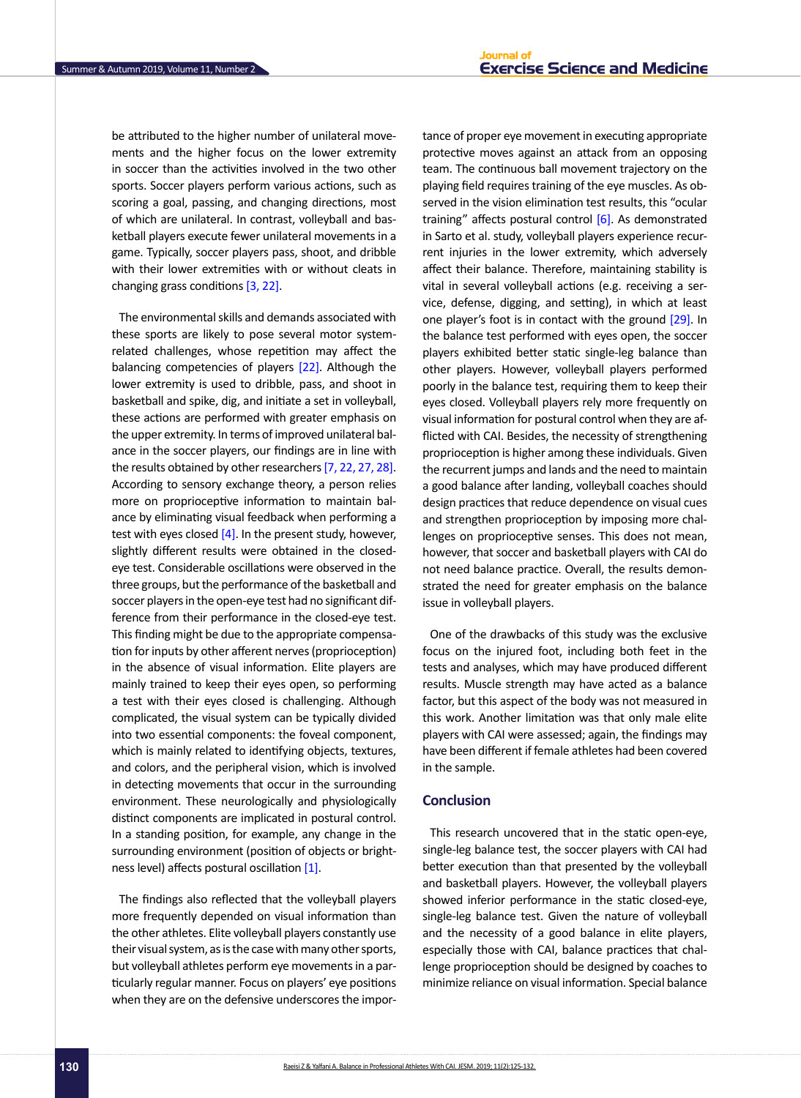be attributed to the higher number of unilateral movements and the higher focus on the lower extremity in soccer than the activities involved in the two other sports. Soccer players perform various actions, such as scoring a goal, passing, and changing directions, most of which are unilateral. In contrast, volleyball and basketball players execute fewer unilateral movements in a game. Typically, soccer players pass, shoot, and dribble with their lower extremities with or without cleats in changing grass conditions [3, [22\]](#page-7-0).

The environmental skills and demands associated with these sports are likely to pose several motor systemrelated challenges, whose repetition may affect the balancing competencies of players [\[22\]](#page-7-0). Although the lower extremity is used to dribble, pass, and shoot in basketball and spike, dig, and initiate a set in volleyball, these actions are performed with greater emphasis on the upper extremity. In terms of improved unilateral balance in the soccer players, our findings are in line with the results obtained by other researchers [\[7,](#page-6-2) [22,](#page-7-0) [27,](#page-7-4) [28\]](#page-7-5). According to sensory exchange theory, a person relies more on proprioceptive information to maintain balance by eliminating visual feedback when performing a test with eyes closed  $[4]$ . In the present study, however, slightly different results were obtained in the closedeye test. Considerable oscillations were observed in the three groups, but the performance of the basketball and soccer players in the open-eye test had no significant difference from their performance in the closed-eye test. This finding might be due to the appropriate compensation for inputs by other afferent nerves (proprioception) in the absence of visual information. Elite players are mainly trained to keep their eyes open, so performing a test with their eyes closed is challenging. Although complicated, the visual system can be typically divided into two essential components: the foveal component, which is mainly related to identifying objects, textures, and colors, and the peripheral vision, which is involved in detecting movements that occur in the surrounding environment. These neurologically and physiologically distinct components are implicated in postural control. In a standing position, for example, any change in the surrounding environment (position of objects or brightness level) affects postural oscillation [1].

The findings also reflected that the volleyball players more frequently depended on visual information than the other athletes. Elite volleyball players constantly use their visual system, as is the case with many other sports, but volleyball athletes perform eye movements in a particularly regular manner. Focus on players' eye positions when they are on the defensive underscores the importance of proper eye movement in executing appropriate protective moves against an attack from an opposing team. The continuous ball movement trajectory on the playing field requires training of the eye muscles. As observed in the vision elimination test results, this "ocular training" affects postural control  $[6]$ . As demonstrated in Sarto et al. study, volleyball players experience recurrent injuries in the lower extremity, which adversely affect their balance. Therefore, maintaining stability is vital in several volleyball actions (e.g. receiving a service, defense, digging, and setting), in which at least one player's foot is in contact with the ground [\[29\].](#page-7-6) In the balance test performed with eyes open, the soccer players exhibited better static single-leg balance than other players. However, volleyball players performed poorly in the balance test, requiring them to keep their eyes closed. Volleyball players rely more frequently on visual information for postural control when they are afflicted with CAI. Besides, the necessity of strengthening proprioception is higher among these individuals. Given the recurrent jumps and lands and the need to maintain a good balance after landing, volleyball coaches should design practices that reduce dependence on visual cues and strengthen proprioception by imposing more challenges on proprioceptive senses. This does not mean, however, that soccer and basketball players with CAI do not need balance practice. Overall, the results demonstrated the need for greater emphasis on the balance issue in volleyball players.

One of the drawbacks of this study was the exclusive focus on the injured foot, including both feet in the tests and analyses, which may have produced different results. Muscle strength may have acted as a balance factor, but this aspect of the body was not measured in this work. Another limitation was that only male elite players with CAI were assessed; again, the findings may have been different if female athletes had been covered in the sample.

## **Conclusion**

This research uncovered that in the static open-eye, single-leg balance test, the soccer players with CAI had better execution than that presented by the volleyball and basketball players. However, the volleyball players showed inferior performance in the static closed-eye, single-leg balance test. Given the nature of volleyball and the necessity of a good balance in elite players, especially those with CAI, balance practices that challenge proprioception should be designed by coaches to minimize reliance on visual information. Special balance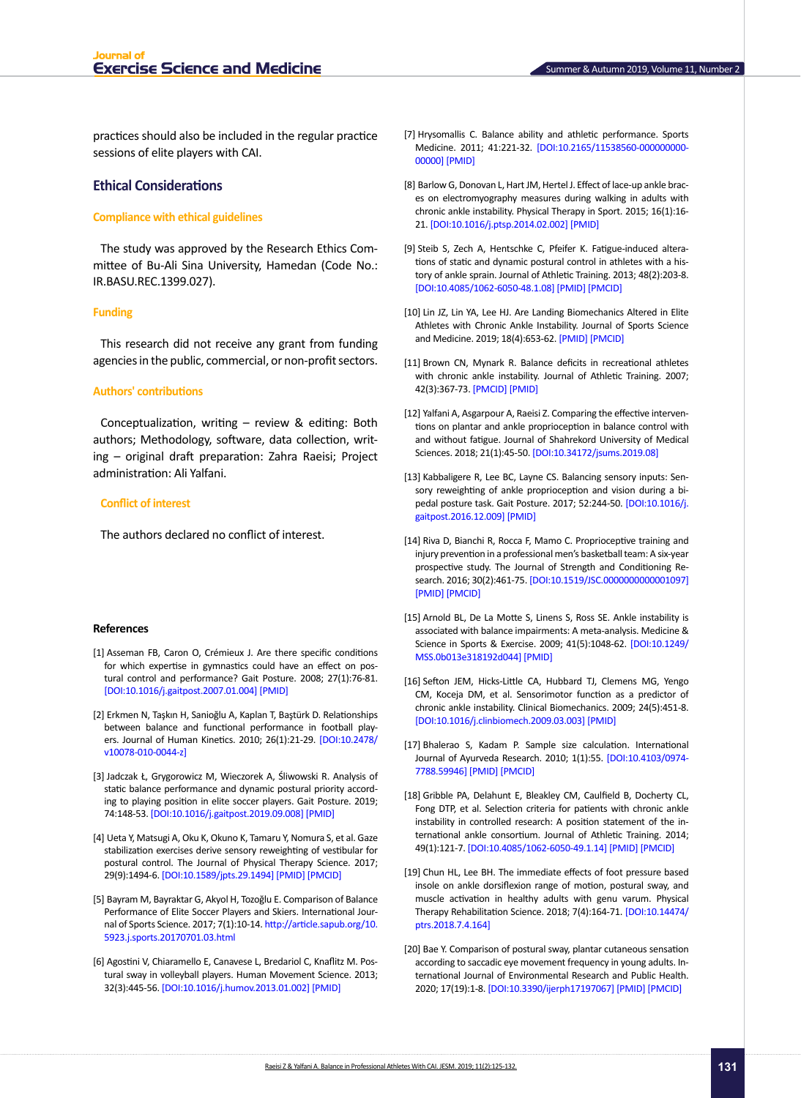practices should also be included in the regular practice sessions of elite players with CAI.

## **Ethical Considerations**

### **Compliance with ethical guidelines**

The study was approved by the Research Ethics Committee of Bu-Ali Sina University, Hamedan (Code No.: IR.BASU.REC.1399.027).

#### **Funding**

This research did not receive any grant from funding agencies in the public, commercial, or non-profit sectors.

#### **Authors' contributions**

Conceptualization, writing – review & editing: Both authors; Methodology, software, data collection, writing – original draft preparation: Zahra Raeisi; Project administration: Ali Yalfani.

#### **Conflict of interest**

The authors declared no conflict of interest.

#### **References**

- [1] Asseman FB, Caron O, Crémieux J. Are there specific conditions for which expertise in gymnastics could have an effect on postural control and performance? Gait Posture. 2008; 27(1):76-81. [DOI:10.1016/j.gaitpost.2007.01.004] [PMID]
- [2] Erkmen N, Taşkın H, Sanioğlu A, Kaplan T, Baştürk D. Relationships between balance and functional performance in football players. Journal of Human Kinetics. 2010; 26(1):21-29. [DOI:10.2478/ v10078-010-0044-z]
- [3] Jadczak Ł, Grygorowicz M, Wieczorek A, Śliwowski R. Analysis of static balance performance and dynamic postural priority according to playing position in elite soccer players. Gait Posture. 2019; 74:148-53. [DOI:10.1016/j.gaitpost.2019.09.008] [PMID]
- <span id="page-6-0"></span>[4] Ueta Y, Matsugi A, Oku K, Okuno K, Tamaru Y, Nomura S, et al. Gaze stabilization exercises derive sensory reweighting of vestibular for postural control. The Journal of Physical Therapy Science. 2017; 29(9):1494-6. [DOI:10.1589/jpts.29.1494] [PMID] [PMCID]
- [5] Bayram M, Bayraktar G, Akyol H, Tozoğlu E. Comparison of Balance Performance of Elite Soccer Players and Skiers. International Journal of Sports Science. 2017; 7(1):10-14. http://article.sapub.org/10. 5923.j.sports.20170701.03.html
- <span id="page-6-1"></span>[6] Agostini V, Chiaramello E, Canavese L, Bredariol C, Knaflitz M. Postural sway in volleyball players. Human Movement Science. 2013; 32(3):445-56. [DOI:10.1016/j.humov.2013.01.002] [PMID]
- <span id="page-6-2"></span>[7] Hrysomallis C. Balance ability and athletic performance. Sports Medicine. 2011; 41:221-32. [DOI:10.2165/11538560-000000000- 00000] [PMID]
- <span id="page-6-3"></span>[8] Barlow G, Donovan L, Hart JM, Hertel J. Effect of lace-up ankle braces on electromyography measures during walking in adults with chronic ankle instability. Physical Therapy in Sport. 2015; 16(1):16- 21. [DOI:10.1016/j.ptsp.2014.02.002] [PMID]
- <span id="page-6-4"></span>[9] Steib S, Zech A, Hentschke C, Pfeifer K. Fatigue-induced alterations of static and dynamic postural control in athletes with a history of ankle sprain. Journal of Athletic Training. 2013; 48(2):203-8. [DOI:10.4085/1062-6050-48.1.08] [PMID] [PMCID]
- <span id="page-6-5"></span>[10] Lin JZ, Lin YA, Lee HJ. Are Landing Biomechanics Altered in Elite Athletes with Chronic Ankle Instability. Journal of Sports Science and Medicine. 2019; 18(4):653-62. [PMID] [PMCID]
- <span id="page-6-6"></span>[11] Brown CN, Mynark R. Balance deficits in recreational athletes with chronic ankle instability. Journal of Athletic Training. 2007; 42(3):367-73. [PMCID] [PMID]
- <span id="page-6-7"></span>[12] Yalfani A, Asgarpour A, Raeisi Z. Comparing the effective interventions on plantar and ankle proprioception in balance control with and without fatigue. Journal of Shahrekord University of Medical Sciences. 2018; 21(1):45-50. [DOI:10.34172/jsums.2019.08]
- <span id="page-6-8"></span>[13] Kabbaligere R, Lee BC, Layne CS. Balancing sensory inputs: Sensory reweighting of ankle proprioception and vision during a bipedal posture task. Gait Posture. 2017; 52:244-50. [DOI:10.1016/j. gaitpost.2016.12.009] [PMID]
- <span id="page-6-9"></span>[14] Riva D, Bianchi R, Rocca F, Mamo C. Proprioceptive training and injury prevention in a professional men's basketball team: A six-year prospective study. The Journal of Strength and Conditioning Research. 2016; 30(2):461-75. [DOI:10.1519/JSC.0000000000001097] [PMID] [PMCID]
- <span id="page-6-10"></span>[15] Arnold BL, De La Motte S, Linens S, Ross SE. Ankle instability is associated with balance impairments: A meta-analysis. Medicine & Science in Sports & Exercise. 2009; 41(5):1048-62. [DOI:10.1249/ MSS.0b013e318192d044] [PMID]
- <span id="page-6-11"></span>[16] Sefton JEM, Hicks-Little CA, Hubbard TJ, Clemens MG, Yengo CM, Koceja DM, et al. Sensorimotor function as a predictor of chronic ankle instability. Clinical Biomechanics. 2009; 24(5):451-8. [DOI:10.1016/j.clinbiomech.2009.03.003] [PMID]
- <span id="page-6-12"></span>[17] Bhalerao S, Kadam P. Sample size calculation. International Journal of Ayurveda Research. 2010; 1(1):55. [DOI:10.4103/0974- 7788.59946] [PMID] [PMCID]
- <span id="page-6-13"></span>[18] Gribble PA, Delahunt E, Bleakley CM, Caulfield B, Docherty CL, Fong DTP, et al. Selection criteria for patients with chronic ankle instability in controlled research: A position statement of the international ankle consortium. Journal of Athletic Training. 2014; 49(1):121-7. [DOI:10.4085/1062-6050-49.1.14] [PMID] [PMCID]
- <span id="page-6-14"></span>[19] Chun HL, Lee BH. The immediate effects of foot pressure based insole on ankle dorsiflexion range of motion, postural sway, and muscle activation in healthy adults with genu varum. Physical Therapy Rehabilitation Science. 2018; 7(4):164-71. [DOI:10.14474/ ptrs.2018.7.4.164]
- [20] Bae Y. Comparison of postural sway, plantar cutaneous sensation according to saccadic eye movement frequency in young adults. International Journal of Environmental Research and Public Health. 2020; 17(19):1-8. [DOI:10.3390/ijerph17197067] [PMID] [PMCID]